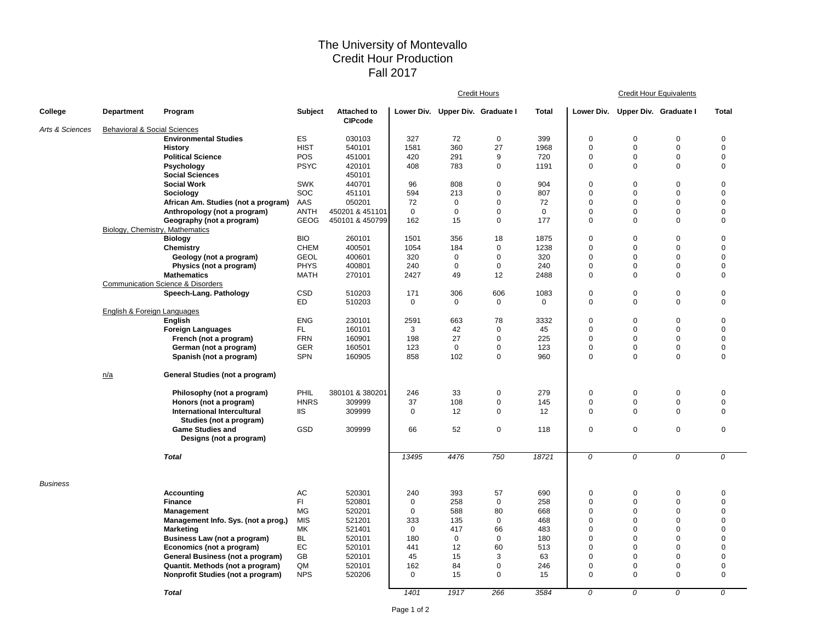## The University of Montevallo Credit Hour Production Fall 2017

|                 |                                         |                                                                      |                         |                                      |             |                                  | <b>Credit Hours</b>        |              | <b>Credit Hour Equivalents</b> |                                  |                            |                         |  |
|-----------------|-----------------------------------------|----------------------------------------------------------------------|-------------------------|--------------------------------------|-------------|----------------------------------|----------------------------|--------------|--------------------------------|----------------------------------|----------------------------|-------------------------|--|
| College         | <b>Department</b>                       | Program                                                              | Subject                 | <b>Attached to</b><br><b>CIPcode</b> |             | Lower Div. Upper Div. Graduate I |                            | <b>Total</b> |                                | Lower Div. Upper Div. Graduate I |                            | <b>Total</b>            |  |
| Arts & Sciences | <b>Behavioral &amp; Social Sciences</b> |                                                                      |                         |                                      |             |                                  |                            |              |                                |                                  |                            |                         |  |
|                 |                                         | <b>Environmental Studies</b>                                         | ES                      | 030103                               | 327         | 72                               | $\mathbf 0$                | 399          | 0                              | 0                                | $\mathbf 0$                | $\mathbf 0$             |  |
|                 |                                         | <b>History</b>                                                       | <b>HIST</b>             | 540101                               | 1581        | 360                              | 27                         | 1968         | $\mathbf 0$                    | $\mathbf 0$                      | $\mathbf 0$                | $\mathbf 0$             |  |
|                 |                                         | <b>Political Science</b>                                             | POS                     | 451001                               | 420         | 291                              | 9                          | 720          | $\mathbf 0$                    | $\mathbf 0$                      | $\mathbf 0$                | $\mathbf 0$             |  |
|                 |                                         | Psychology                                                           | <b>PSYC</b>             | 420101                               | 408         | 783                              | $\mathbf 0$                | 1191         | 0                              | 0                                | $\mathbf 0$                | 0                       |  |
|                 |                                         | <b>Social Sciences</b><br><b>Social Work</b>                         |                         | 450101                               |             |                                  |                            | 904          | $\Omega$                       | $\mathbf 0$                      | $\mathbf 0$                | $\mathbf 0$             |  |
|                 |                                         |                                                                      | <b>SWK</b><br>SOC       | 440701<br>451101                     | 96<br>594   | 808<br>213                       | $\mathbf 0$<br>$\mathbf 0$ | 807          | $\Omega$                       | 0                                | $\mathbf 0$                | $\Omega$                |  |
|                 |                                         | Sociology                                                            | AAS                     | 050201                               | 72          | $\mathbf 0$                      | $\mathbf 0$                | 72           | 0                              | 0                                | 0                          | 0                       |  |
|                 |                                         | African Am. Studies (not a program)                                  | <b>ANTH</b>             | 450201 & 451101                      | $\mathbf 0$ | $\mathbf 0$                      | $\mathbf 0$                | $\mathbf 0$  | $\Omega$                       | $\mathbf 0$                      | $\mathbf 0$                | $\Omega$                |  |
|                 |                                         | Anthropology (not a program)<br>Geography (not a program)            | <b>GEOG</b>             | 450101 & 450799                      | 162         | 15                               | $\mathbf 0$                | 177          | 0                              | $\mathbf 0$                      | $\mathbf 0$                | 0                       |  |
|                 | Biology, Chemistry, Mathematics         |                                                                      |                         |                                      |             |                                  |                            |              |                                |                                  |                            |                         |  |
|                 |                                         | <b>Biology</b>                                                       | <b>BIO</b>              | 260101                               | 1501        | 356                              | 18                         | 1875         | $\mathbf 0$                    | $\mathbf 0$                      | $\mathbf 0$                | $\mathbf 0$             |  |
|                 |                                         | Chemistry                                                            | <b>CHEM</b>             | 400501                               | 1054        | 184                              | $\mathbf 0$                | 1238         | $\Omega$                       | $\mathbf 0$                      | $\mathbf 0$                | $\Omega$                |  |
|                 |                                         | Geology (not a program)                                              | <b>GEOL</b>             | 400601                               | 320         | $\mathbf 0$                      | $\mathbf 0$                | 320          | $\mathbf 0$                    | $\mathbf 0$                      | 0                          | $\Omega$                |  |
|                 |                                         | Physics (not a program)                                              | <b>PHYS</b>             | 400801                               | 240         | $\mathbf 0$                      | $\mathbf 0$                | 240          | $\mathbf 0$                    | $\mathbf 0$                      | $\mathbf 0$                | $\Omega$                |  |
|                 |                                         | <b>Mathematics</b>                                                   | <b>MATH</b>             | 270101                               | 2427        | 49                               | 12                         | 2488         | $\mathbf 0$                    | $\Omega$                         | $\mathbf 0$                | $\mathbf 0$             |  |
|                 |                                         | <b>Communication Science &amp; Disorders</b>                         |                         |                                      |             |                                  |                            |              |                                |                                  |                            |                         |  |
|                 |                                         | Speech-Lang. Pathology                                               | CSD                     | 510203                               | 171         | 306                              | 606                        | 1083         | $\mathbf 0$                    | 0                                | $\mathbf 0$                | $\mathbf 0$             |  |
|                 |                                         |                                                                      | <b>ED</b>               | 510203                               | $\mathbf 0$ | $\mathbf 0$                      | $\pmb{0}$                  | $\mathbf 0$  | 0                              | $\mathbf 0$                      | $\mathbf 0$                | 0                       |  |
|                 | <b>English &amp; Foreign Languages</b>  |                                                                      |                         |                                      |             |                                  |                            |              |                                |                                  |                            |                         |  |
|                 |                                         | English                                                              | <b>ENG</b>              | 230101                               | 2591        | 663                              | 78                         | 3332         | 0                              | 0                                | $\mathbf 0$                | $\mathbf 0$             |  |
|                 |                                         | <b>Foreign Languages</b>                                             | FL.                     | 160101                               | 3           | 42                               | $\mathbf 0$                | 45           | $\Omega$                       | $\mathbf 0$                      | $\mathbf 0$                | $\Omega$                |  |
|                 |                                         | French (not a program)                                               | <b>FRN</b>              | 160901                               | 198         | 27                               | $\mathbf 0$                | 225          | $\mathbf 0$                    | $\mathbf 0$                      | 0                          | $\mathbf 0$             |  |
|                 |                                         | German (not a program)                                               | <b>GER</b>              | 160501                               | 123         | $\mathbf 0$                      | $\mathbf 0$                | 123          | $\mathbf 0$                    | 0                                | $\mathbf 0$                | 0                       |  |
|                 |                                         | Spanish (not a program)                                              | <b>SPN</b>              | 160905                               | 858         | 102                              | $\mathbf 0$                | 960          | $\mathbf 0$                    | $\mathbf 0$                      | $\mathbf 0$                | $\Omega$                |  |
|                 | n/a                                     | General Studies (not a program)                                      |                         |                                      |             |                                  |                            |              |                                |                                  |                            |                         |  |
|                 |                                         | Philosophy (not a program)                                           | PHIL                    | 380101 & 380201                      | 246         | 33                               | $\pmb{0}$                  | 279          | $\mathbf 0$                    | $\mathbf 0$                      | $\pmb{0}$                  | $\Omega$                |  |
|                 |                                         | Honors (not a program)                                               | <b>HNRS</b>             | 309999                               | 37          | 108                              | $\pmb{0}$                  | 145          | 0                              | 0                                | 0                          | $\mathbf 0$             |  |
|                 |                                         | <b>International Intercultural</b><br>Studies (not a program)        | <b>IIS</b>              | 309999                               | $\mathbf 0$ | 12                               | $\mathbf 0$                | 12           | 0                              | $\mathbf 0$                      | $\mathbf 0$                | 0                       |  |
|                 |                                         | <b>Game Studies and</b>                                              | GSD                     | 309999                               | 66          | 52                               | $\mathbf 0$                | 118          | $\mathbf 0$                    | 0                                | $\mathbf 0$                | $\mathbf 0$             |  |
|                 |                                         | Designs (not a program)                                              |                         |                                      |             |                                  |                            |              |                                |                                  |                            |                         |  |
|                 |                                         | <b>Total</b>                                                         |                         |                                      | 13495       | 4476                             | 750                        | 18721        | 0                              | $\overline{\mathcal{O}}$         | 0                          | 0                       |  |
|                 |                                         |                                                                      |                         |                                      |             |                                  |                            |              |                                |                                  |                            |                         |  |
| <b>Business</b> |                                         |                                                                      |                         |                                      |             |                                  |                            |              |                                |                                  |                            |                         |  |
|                 |                                         | <b>Accounting</b>                                                    | AC                      | 520301                               | 240         | 393                              | 57                         | 690          | $\mathbf 0$                    | $\mathbf 0$                      | $\mathbf 0$                | $\Omega$                |  |
|                 |                                         | <b>Finance</b>                                                       | FL.                     | 520801                               | $\mathbf 0$ | 258                              | $\mathbf 0$                | 258          | $\Omega$                       | $\mathbf 0$                      | $\mathbf 0$                | $\Omega$                |  |
|                 |                                         | <b>Management</b>                                                    | MG                      | 520201                               | $\mathbf 0$ | 588                              | 80                         | 668          | $\Omega$                       | $\mathbf 0$                      | $\mathbf 0$                | $\Omega$                |  |
|                 |                                         | Management Info. Sys. (not a prog.)                                  | <b>MIS</b><br><b>MK</b> | 521201                               | 333         | 135                              | $\mathbf 0$                | 468          | $\Omega$<br>$\Omega$           | $\Omega$<br>$\Omega$             | $\mathbf 0$                | $\Omega$<br>$\Omega$    |  |
|                 |                                         | Marketing                                                            |                         | 521401                               | $\pmb{0}$   | 417                              | 66                         | 483          |                                |                                  | $\mathbf 0$                |                         |  |
|                 |                                         | Business Law (not a program)                                         | <b>BL</b><br>EC         | 520101                               | 180<br>441  | $\mathbf 0$<br>12                | $\mathbf 0$<br>60          | 180<br>513   | $\mathbf 0$<br>$\Omega$        | 0<br>$\mathbf 0$                 | $\mathbf 0$<br>$\mathbf 0$ | $\mathbf 0$<br>$\Omega$ |  |
|                 |                                         | Economics (not a program)                                            | GB                      | 520101<br>520101                     | 45          | 15                               | 3                          | 63           | $\Omega$                       | $\mathbf 0$                      | $\mathbf 0$                | $\Omega$                |  |
|                 |                                         | General Business (not a program)<br>Quantit. Methods (not a program) | QM                      |                                      | 162         | 84                               | $\mathbf 0$                | 246          | 0                              | 0                                | $\mathbf 0$                | 0                       |  |
|                 |                                         | Nonprofit Studies (not a program)                                    | <b>NPS</b>              | 520101<br>520206                     | $\mathbf 0$ | 15                               | $\mathbf 0$                | 15           | 0                              | $\mathbf 0$                      | $\mathbf 0$                | $\mathbf 0$             |  |
|                 |                                         |                                                                      |                         |                                      |             |                                  |                            |              |                                |                                  |                            |                         |  |
|                 |                                         | <b>Total</b>                                                         |                         |                                      | 1401        | 1917                             | 266                        | 3584         | 0                              | 0                                | $\Omega$                   | 0                       |  |